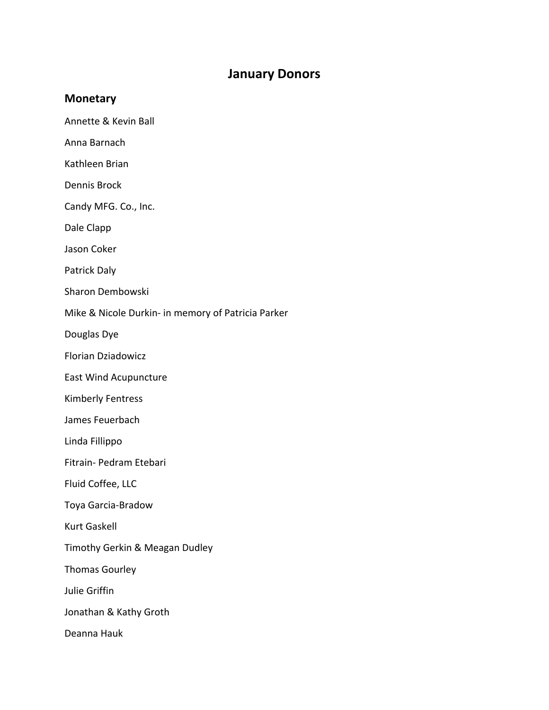## **January Donors**

## **Monetary**

- Annette & Kevin Ball
- Anna Barnach
- Kathleen Brian
- Dennis Brock
- Candy MFG. Co., Inc.
- Dale Clapp
- Jason Coker
- Patrick Daly
- Sharon Dembowski
- Mike & Nicole Durkin‐ in memory of Patricia Parker
- Douglas Dye
- Florian Dziadowicz
- East Wind Acupuncture
- Kimberly Fentress
- James Feuerbach
- Linda Fillippo
- Fitrain‐ Pedram Etebari
- Fluid Coffee, LLC
- Toya Garcia‐Bradow
- Kurt Gaskell
- Timothy Gerkin & Meagan Dudley
- Thomas Gourley
- Julie Griffin
- Jonathan & Kathy Groth
- Deanna Hauk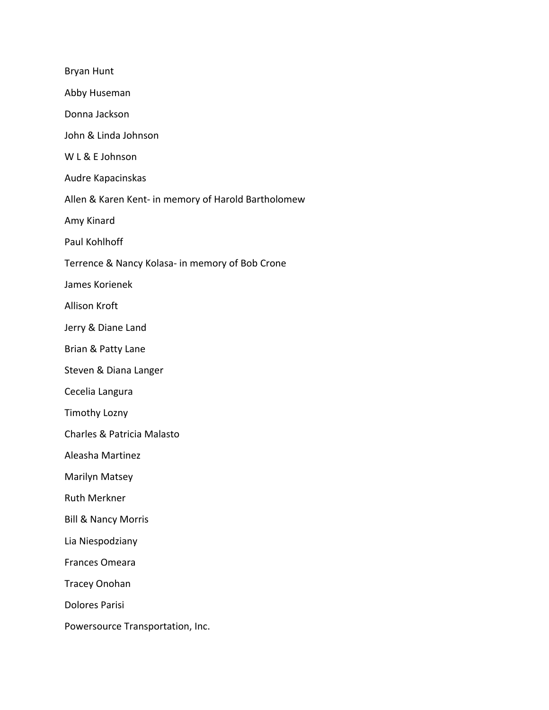| <b>Bryan Hunt</b>                                   |
|-----------------------------------------------------|
| Abby Huseman                                        |
| Donna Jackson                                       |
| John & Linda Johnson                                |
| W L & E Johnson                                     |
| Audre Kapacinskas                                   |
| Allen & Karen Kent- in memory of Harold Bartholomew |
| Amy Kinard                                          |
| Paul Kohlhoff                                       |
| Terrence & Nancy Kolasa- in memory of Bob Crone     |
| James Korienek                                      |
| <b>Allison Kroft</b>                                |
| Jerry & Diane Land                                  |
| Brian & Patty Lane                                  |
| Steven & Diana Langer                               |
| Cecelia Langura                                     |
| <b>Timothy Lozny</b>                                |
| Charles & Patricia Malasto                          |
| Aleasha Martinez                                    |
| Marilyn Matsey                                      |
| <b>Ruth Merkner</b>                                 |
| <b>Bill &amp; Nancy Morris</b>                      |
| Lia Niespodziany                                    |
| Frances Omeara                                      |
| <b>Tracey Onohan</b>                                |
| <b>Dolores Parisi</b>                               |
| Powersource Transportation, Inc.                    |